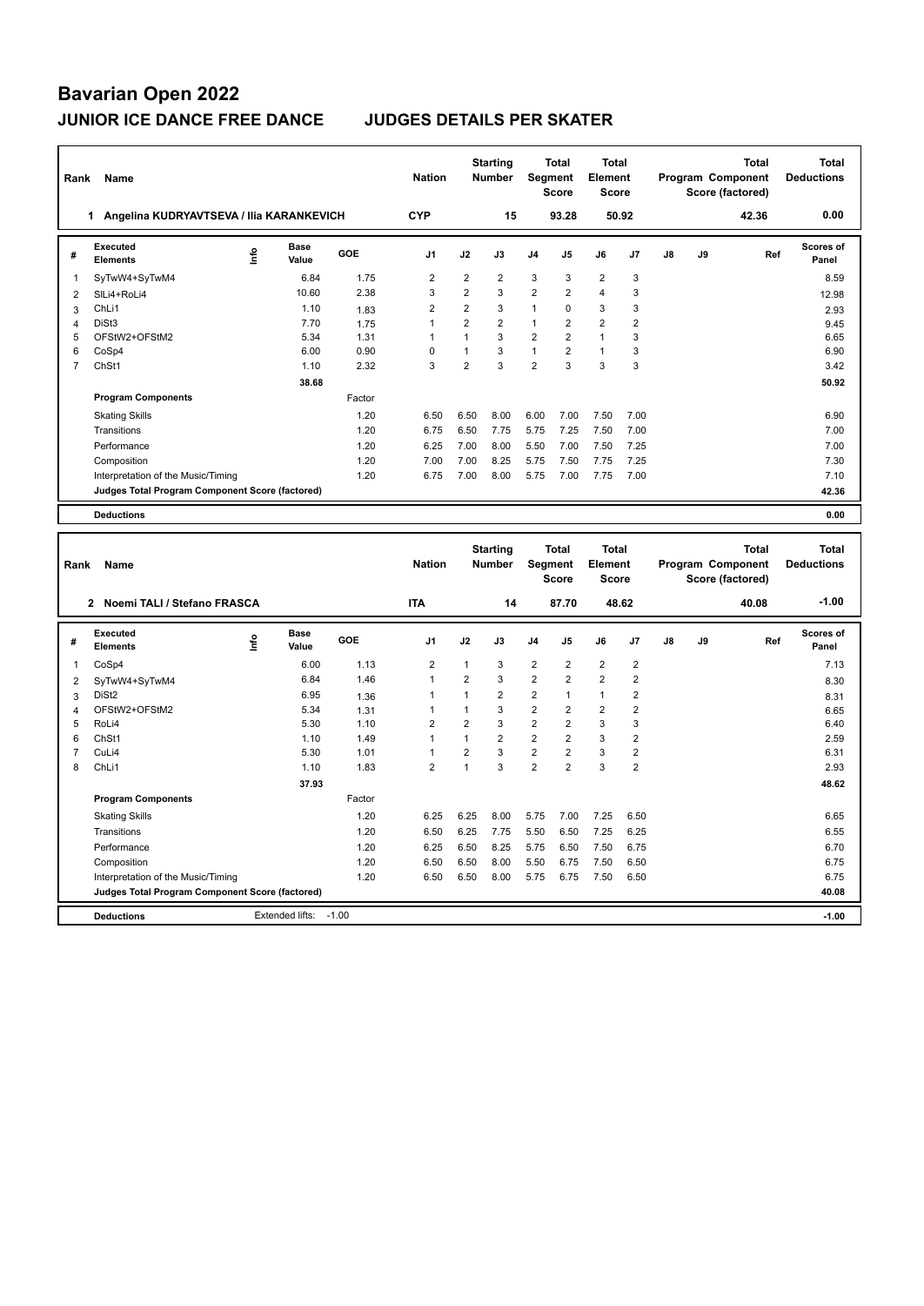| Rank           | Name                                            |                       |        | <b>Nation</b>  |                | <b>Starting</b><br><b>Number</b> | Segment        | <b>Total</b><br><b>Score</b> | <b>Total</b><br>Element<br><b>Score</b> |       |    |    | <b>Total</b><br>Program Component<br>Score (factored) | Total<br><b>Deductions</b> |
|----------------|-------------------------------------------------|-----------------------|--------|----------------|----------------|----------------------------------|----------------|------------------------------|-----------------------------------------|-------|----|----|-------------------------------------------------------|----------------------------|
|                | Angelina KUDRYAVTSEVA / Ilia KARANKEVICH<br>1.  |                       |        | <b>CYP</b>     |                | 15                               |                | 93.28                        |                                         | 50.92 |    |    | 42.36                                                 | 0.00                       |
| #              | Executed<br><b>Elements</b>                     | Base<br>١nfo<br>Value | GOE    | J <sub>1</sub> | J2             | J3                               | J <sub>4</sub> | J5                           | J6                                      | J7    | J8 | J9 | Ref                                                   | <b>Scores of</b><br>Panel  |
| 1              | SyTwW4+SyTwM4                                   | 6.84                  | 1.75   | $\overline{2}$ | $\overline{2}$ | $\overline{2}$                   | 3              | 3                            | $\overline{2}$                          | 3     |    |    |                                                       | 8.59                       |
| 2              | SILi4+RoLi4                                     | 10.60                 | 2.38   | 3              | $\overline{2}$ | 3                                | $\overline{2}$ | $\overline{2}$               | 4                                       | 3     |    |    |                                                       | 12.98                      |
| 3              | ChLi1                                           | 1.10                  | 1.83   | $\overline{2}$ | $\overline{2}$ | 3                                | $\mathbf{1}$   | $\Omega$                     | 3                                       | 3     |    |    |                                                       | 2.93                       |
| 4              | DiSt <sub>3</sub>                               | 7.70                  | 1.75   | $\overline{1}$ | $\overline{2}$ | $\overline{2}$                   | $\mathbf{1}$   | 2                            | $\overline{2}$                          | 2     |    |    |                                                       | 9.45                       |
| 5              | OFStW2+OFStM2                                   | 5.34                  | 1.31   | $\mathbf{1}$   | 1              | 3                                | 2              | $\overline{2}$               | $\mathbf{1}$                            | 3     |    |    |                                                       | 6.65                       |
| 6              | CoSp4                                           | 6.00                  | 0.90   | $\Omega$       | 1              | 3                                | $\mathbf{1}$   | $\overline{2}$               | $\mathbf{1}$                            | 3     |    |    |                                                       | 6.90                       |
| $\overline{7}$ | ChSt1                                           | 1.10                  | 2.32   | 3              | $\overline{2}$ | 3                                | $\overline{2}$ | $\mathbf{3}$                 | 3                                       | 3     |    |    |                                                       | 3.42                       |
|                |                                                 | 38.68                 |        |                |                |                                  |                |                              |                                         |       |    |    |                                                       | 50.92                      |
|                | <b>Program Components</b>                       |                       | Factor |                |                |                                  |                |                              |                                         |       |    |    |                                                       |                            |
|                | <b>Skating Skills</b>                           |                       | 1.20   | 6.50           | 6.50           | 8.00                             | 6.00           | 7.00                         | 7.50                                    | 7.00  |    |    |                                                       | 6.90                       |
|                | Transitions                                     |                       | 1.20   | 6.75           | 6.50           | 7.75                             | 5.75           | 7.25                         | 7.50                                    | 7.00  |    |    |                                                       | 7.00                       |
|                | Performance                                     |                       | 1.20   | 6.25           | 7.00           | 8.00                             | 5.50           | 7.00                         | 7.50                                    | 7.25  |    |    |                                                       | 7.00                       |
|                | Composition                                     |                       | 1.20   | 7.00           | 7.00           | 8.25                             | 5.75           | 7.50                         | 7.75                                    | 7.25  |    |    |                                                       | 7.30                       |
|                | Interpretation of the Music/Timing              |                       | 1.20   | 6.75           | 7.00           | 8.00                             | 5.75           | 7.00                         | 7.75                                    | 7.00  |    |    |                                                       | 7.10                       |
|                | Judges Total Program Component Score (factored) |                       |        |                |                |                                  |                |                              |                                         |       |    |    |                                                       | 42.36                      |
|                | <b>Deductions</b>                               |                       |        |                |                |                                  |                |                              |                                         |       |    |    |                                                       | 0.00                       |
|                |                                                 |                       |        |                |                |                                  |                |                              |                                         |       |    |    |                                                       |                            |
| Rank           | Name                                            |                       |        | <b>Nation</b>  |                | <b>Starting</b><br><b>Number</b> | Segment        | <b>Total</b><br><b>Score</b> | <b>Total</b><br>Element<br><b>Score</b> |       |    |    | <b>Total</b><br>Program Component<br>Score (factored) | Total<br><b>Deductions</b> |
|                | 2 Noemi TALI / Stefano FRASCA                   |                       |        | <b>ITA</b>     |                | 14                               |                | 87.70                        | 48.62                                   |       |    |    | 40.08                                                 | $-1.00$                    |
|                |                                                 |                       |        |                |                |                                  |                |                              |                                         |       |    |    |                                                       |                            |

| # | Executed<br><b>Elements</b>                     | ۴ | <b>Base</b><br>Value | GOE     | J <sub>1</sub> | J2   | J3             | J <sub>4</sub> | J <sub>5</sub> | J6             | J <sub>7</sub> | J8 | J9 | Ref | Scores of<br>Panel |
|---|-------------------------------------------------|---|----------------------|---------|----------------|------|----------------|----------------|----------------|----------------|----------------|----|----|-----|--------------------|
|   | CoSp4                                           |   | 6.00                 | 1.13    | $\overline{2}$ |      | 3              | $\overline{2}$ | $\overline{2}$ | $\overline{2}$ | $\overline{2}$ |    |    |     | 7.13               |
| 2 | SyTwW4+SyTwM4                                   |   | 6.84                 | 1.46    | $\mathbf{1}$   | 2    | 3              | $\overline{2}$ | $\overline{2}$ | $\overline{2}$ | $\overline{2}$ |    |    |     | 8.30               |
| 3 | DiSt <sub>2</sub>                               |   | 6.95                 | 1.36    |                |      | $\overline{2}$ | $\overline{2}$ | $\overline{ }$ | 1              | 2              |    |    |     | 8.31               |
| 4 | OFStW2+OFStM2                                   |   | 5.34                 | 1.31    |                |      | 3              | $\overline{2}$ | 2              | $\overline{2}$ | 2              |    |    |     | 6.65               |
| 5 | RoLi4                                           |   | 5.30                 | 1.10    | 2              | 2    | 3              | $\overline{2}$ | $\overline{2}$ | 3              | 3              |    |    |     | 6.40               |
| 6 | ChSt1                                           |   | 1.10                 | 1.49    | 1              |      | 2              | $\overline{2}$ | $\overline{2}$ | 3              | 2              |    |    |     | 2.59               |
|   | CuLi4                                           |   | 5.30                 | 1.01    | 1              | 2    | 3              | $\overline{2}$ | $\overline{2}$ | 3              | 2              |    |    |     | 6.31               |
| 8 | ChLi1                                           |   | 1.10                 | 1.83    | $\overline{2}$ |      | 3              | $\overline{2}$ | $\overline{2}$ | 3              | $\overline{2}$ |    |    |     | 2.93               |
|   |                                                 |   | 37.93                |         |                |      |                |                |                |                |                |    |    |     | 48.62              |
|   | <b>Program Components</b>                       |   |                      | Factor  |                |      |                |                |                |                |                |    |    |     |                    |
|   | <b>Skating Skills</b>                           |   |                      | 1.20    | 6.25           | 6.25 | 8.00           | 5.75           | 7.00           | 7.25           | 6.50           |    |    |     | 6.65               |
|   | Transitions                                     |   |                      | 1.20    | 6.50           | 6.25 | 7.75           | 5.50           | 6.50           | 7.25           | 6.25           |    |    |     | 6.55               |
|   | Performance                                     |   |                      | 1.20    | 6.25           | 6.50 | 8.25           | 5.75           | 6.50           | 7.50           | 6.75           |    |    |     | 6.70               |
|   | Composition                                     |   |                      | 1.20    | 6.50           | 6.50 | 8.00           | 5.50           | 6.75           | 7.50           | 6.50           |    |    |     | 6.75               |
|   | Interpretation of the Music/Timing              |   |                      | 1.20    | 6.50           | 6.50 | 8.00           | 5.75           | 6.75           | 7.50           | 6.50           |    |    |     | 6.75               |
|   | Judges Total Program Component Score (factored) |   |                      |         |                |      |                |                |                |                |                |    |    |     | 40.08              |
|   | <b>Deductions</b>                               |   | Extended lifts:      | $-1.00$ |                |      |                |                |                |                |                |    |    |     | $-1.00$            |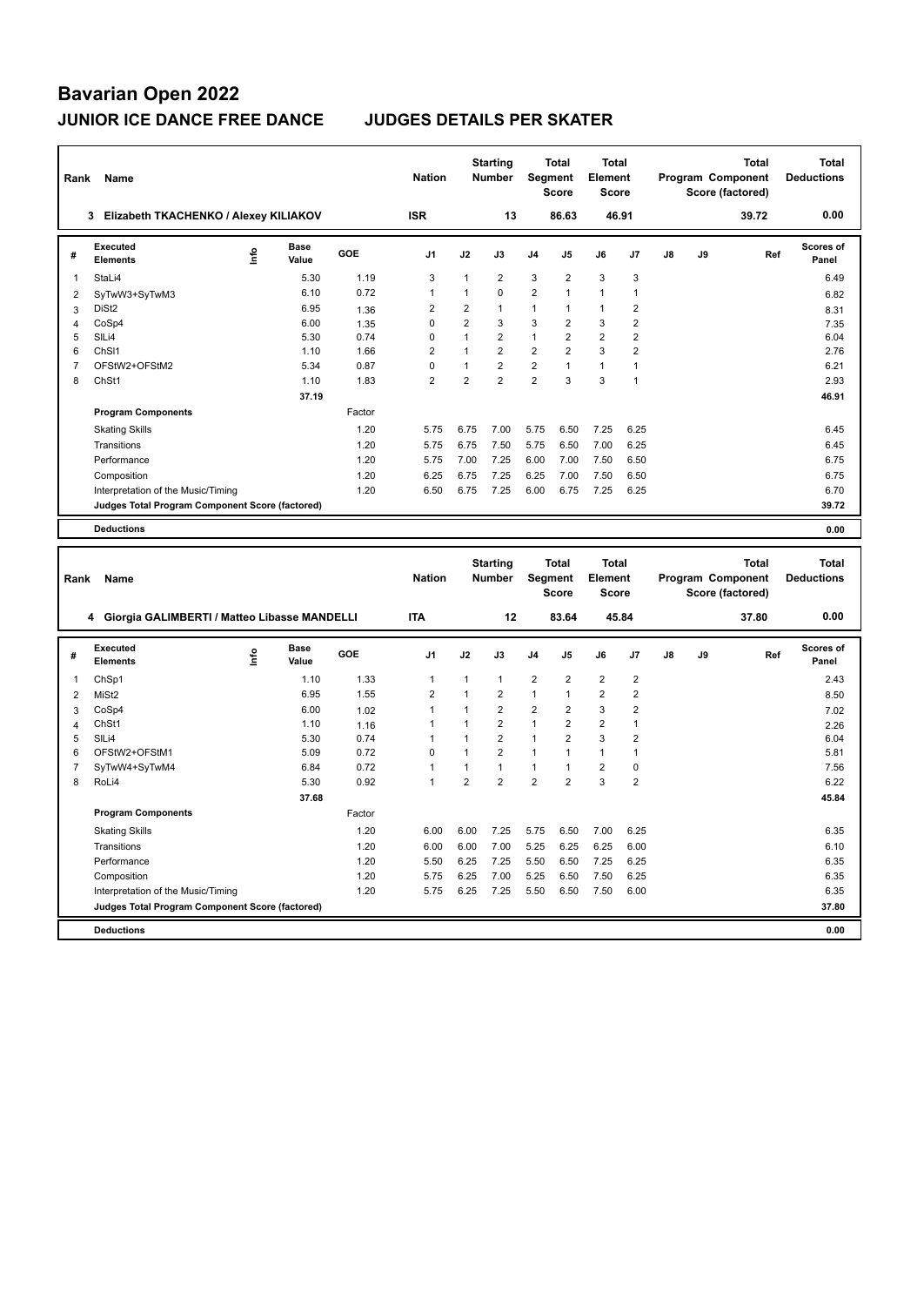| Rank                | Name                                            |      |                      |              | <b>Nation</b>                  |                         | <b>Starting</b><br><b>Number</b> | Segment                          | <b>Total</b><br><b>Score</b>     | <b>Total</b><br>Element<br><b>Score</b> |                                  |               |    | Program Component<br>Score (factored) | <b>Total</b> | <b>Total</b><br><b>Deductions</b> |
|---------------------|-------------------------------------------------|------|----------------------|--------------|--------------------------------|-------------------------|----------------------------------|----------------------------------|----------------------------------|-----------------------------------------|----------------------------------|---------------|----|---------------------------------------|--------------|-----------------------------------|
|                     | 3 Elizabeth TKACHENKO / Alexey KILIAKOV         |      |                      |              | <b>ISR</b>                     |                         | 13                               |                                  | 86.63                            | 46.91                                   |                                  |               |    |                                       | 39.72        | 0.00                              |
| #                   | Executed<br><b>Elements</b>                     | 을    | <b>Base</b><br>Value | GOE          | J <sub>1</sub>                 | J2                      | J3                               | J <sub>4</sub>                   | J5                               | J6                                      | J7                               | J8            | J9 |                                       | Ref          | <b>Scores of</b><br>Panel         |
| $\mathbf{1}$        | StaLi4                                          |      | 5.30                 | 1.19         | 3                              | $\mathbf{1}$            | $\overline{2}$                   | 3                                | $\overline{2}$                   | 3                                       | 3                                |               |    |                                       |              | 6.49                              |
| $\overline{2}$      | SyTwW3+SyTwM3                                   |      | 6.10                 | 0.72         | $\mathbf{1}$                   | $\mathbf{1}$            | 0                                | $\overline{2}$                   | $\mathbf{1}$                     | $\mathbf{1}$                            | $\overline{1}$                   |               |    |                                       |              | 6.82                              |
| 3                   | DiSt <sub>2</sub>                               |      | 6.95                 | 1.36         | $\overline{2}$                 | $\overline{\mathbf{c}}$ | 1                                | $\mathbf{1}$                     | 1                                | 1                                       | $\sqrt{2}$                       |               |    |                                       |              | 8.31                              |
| $\overline{4}$      | CoSp4                                           |      | 6.00                 | 1.35         | $\pmb{0}$                      | $\overline{2}$          | 3                                | 3                                | 2                                | 3                                       | $\overline{2}$                   |               |    |                                       |              | 7.35                              |
| 5                   | SILi4                                           |      | 5.30                 | 0.74         | $\mathbf 0$                    | $\mathbf{1}$            | $\overline{2}$                   | $\mathbf{1}$                     | $\overline{2}$                   | $\overline{2}$                          | $\overline{2}$                   |               |    |                                       |              | 6.04                              |
| 6                   | ChS <sub>11</sub>                               |      | 1.10                 | 1.66         | $\overline{2}$                 | $\mathbf{1}$            | $\overline{2}$                   | $\overline{2}$                   | $\overline{2}$                   | 3                                       | $\overline{2}$                   |               |    |                                       |              | 2.76                              |
| $\overline{7}$      | OFStW2+OFStM2                                   |      | 5.34                 | 0.87         | $\mathbf 0$                    | $\mathbf{1}$            | $\overline{2}$                   | $\overline{2}$                   | 1                                | $\mathbf{1}$                            | $\overline{1}$                   |               |    |                                       |              | 6.21                              |
| 8                   | ChSt1                                           |      | 1.10                 | 1.83         | $\overline{2}$                 | $\overline{2}$          | $\overline{2}$                   | $\overline{2}$                   | 3                                | 3                                       | $\overline{1}$                   |               |    |                                       |              | 2.93                              |
|                     |                                                 |      | 37.19                |              |                                |                         |                                  |                                  |                                  |                                         |                                  |               |    |                                       |              | 46.91                             |
|                     | <b>Program Components</b>                       |      |                      | Factor       |                                |                         |                                  |                                  |                                  |                                         |                                  |               |    |                                       |              |                                   |
|                     | <b>Skating Skills</b>                           |      |                      | 1.20         | 5.75                           | 6.75                    | 7.00                             | 5.75                             | 6.50                             | 7.25                                    | 6.25                             |               |    |                                       |              | 6.45                              |
|                     | Transitions                                     |      |                      | 1.20         | 5.75                           | 6.75                    | 7.50                             | 5.75                             | 6.50                             | 7.00                                    | 6.25                             |               |    |                                       |              | 6.45                              |
|                     | Performance                                     |      |                      | 1.20         | 5.75                           | 7.00                    | 7.25                             | 6.00                             | 7.00                             | 7.50                                    | 6.50                             |               |    |                                       |              | 6.75                              |
|                     | Composition                                     |      |                      | 1.20         | 6.25                           | 6.75                    | 7.25                             | 6.25                             | 7.00                             | 7.50                                    | 6.50                             |               |    |                                       |              | 6.75                              |
|                     | Interpretation of the Music/Timing              |      |                      | 1.20         | 6.50                           | 6.75                    | 7.25                             | 6.00                             | 6.75                             | 7.25                                    | 6.25                             |               |    |                                       |              | 6.70                              |
|                     | Judges Total Program Component Score (factored) |      |                      |              |                                |                         |                                  |                                  |                                  |                                         |                                  |               |    |                                       |              | 39.72                             |
|                     | <b>Deductions</b>                               |      |                      |              |                                |                         |                                  |                                  |                                  |                                         |                                  |               |    |                                       |              | 0.00                              |
|                     |                                                 |      |                      |              |                                |                         |                                  |                                  |                                  |                                         |                                  |               |    |                                       |              |                                   |
| Rank                | Name                                            |      |                      |              | <b>Nation</b>                  |                         | <b>Starting</b><br><b>Number</b> | Segment                          | <b>Total</b><br><b>Score</b>     | <b>Total</b><br>Element<br><b>Score</b> |                                  |               |    | Program Component<br>Score (factored) | <b>Total</b> | <b>Total</b><br><b>Deductions</b> |
|                     | 4 Giorgia GALIMBERTI / Matteo Libasse MANDELLI  |      |                      |              | <b>ITA</b>                     |                         | 12                               |                                  | 83.64                            |                                         | 45.84                            |               |    |                                       | 37.80        | 0.00                              |
| #                   | Executed<br><b>Elements</b>                     | Info | Base<br>Value        | GOE          | J <sub>1</sub>                 | J2                      | J3                               | J <sub>4</sub>                   | J5                               | J6                                      | J7                               | $\mathsf{J}8$ | J9 |                                       | Ref          | <b>Scores of</b><br>Panel         |
|                     |                                                 |      |                      |              |                                |                         |                                  |                                  |                                  |                                         |                                  |               |    |                                       |              |                                   |
| 1                   | ChSp1                                           |      | 1.10<br>6.95         | 1.33<br>1.55 | $\mathbf{1}$<br>$\overline{2}$ | 1<br>1                  | 1<br>$\overline{2}$              | $\overline{2}$<br>$\mathbf{1}$   | $\overline{2}$<br>$\mathbf{1}$   | $\overline{2}$<br>$\overline{2}$        | $\overline{2}$<br>$\overline{2}$ |               |    |                                       |              | 2.43                              |
| 2                   | MiSt <sub>2</sub>                               |      |                      |              |                                | $\mathbf{1}$            |                                  |                                  |                                  |                                         |                                  |               |    |                                       |              | 8.50                              |
| 3<br>$\overline{4}$ | CoSp4<br>ChSt1                                  |      | 6.00<br>1.10         | 1.02         | $\mathbf{1}$<br>$\overline{1}$ | $\mathbf{1}$            | $\overline{2}$<br>$\overline{2}$ | $\boldsymbol{2}$<br>$\mathbf{1}$ | $\overline{2}$<br>$\overline{2}$ | 3<br>$\overline{2}$                     | $\sqrt{2}$<br>$\overline{1}$     |               |    |                                       |              | 7.02                              |
| 5                   | SIL <sub>i4</sub>                               |      | 5.30                 | 1.16<br>0.74 | $\mathbf{1}$                   | $\mathbf{1}$            | $\overline{2}$                   | $\mathbf{1}$                     | $\overline{2}$                   | 3                                       | $\overline{2}$                   |               |    |                                       |              | 2.26<br>6.04                      |
| 6                   | OFStW2+OFStM1                                   |      | 5.09                 | 0.72         | $\mathbf 0$                    | $\mathbf{1}$            | $\overline{2}$                   | $\mathbf{1}$                     | 1                                | $\mathbf{1}$                            | $\overline{1}$                   |               |    |                                       |              | 5.81                              |
| $\overline{7}$      | SyTwW4+SyTwM4                                   |      | 6.84                 | 0.72         | $\mathbf{1}$                   | $\mathbf{1}$            | $\mathbf{1}$                     | $\mathbf{1}$                     | 1                                | $\overline{2}$                          | $\mathbf 0$                      |               |    |                                       |              | 7.56                              |
| 8                   | RoLi4                                           |      | 5.30                 | 0.92         | $\mathbf{1}$                   | $\overline{2}$          | $\overline{2}$                   | $\overline{2}$                   | $\overline{2}$                   | 3                                       | $\overline{2}$                   |               |    |                                       |              | 6.22                              |
|                     |                                                 |      | 37.68                |              |                                |                         |                                  |                                  |                                  |                                         |                                  |               |    |                                       |              | 45.84                             |
|                     | <b>Program Components</b>                       |      |                      | Factor       |                                |                         |                                  |                                  |                                  |                                         |                                  |               |    |                                       |              |                                   |
|                     | <b>Skating Skills</b>                           |      |                      | 1.20         | 6.00                           | 6.00                    | 7.25                             | 5.75                             | 6.50                             | 7.00                                    | 6.25                             |               |    |                                       |              | 6.35                              |
|                     | Transitions                                     |      |                      | 1.20         | 6.00                           | 6.00                    | 7.00                             | 5.25                             | 6.25                             | 6.25                                    | 6.00                             |               |    |                                       |              | 6.10                              |
|                     | Performance                                     |      |                      | 1.20         | 5.50                           | 6.25                    | 7.25                             | 5.50                             | 6.50                             | 7.25                                    | 6.25                             |               |    |                                       |              | 6.35                              |
|                     | Composition                                     |      |                      | 1.20         | 5.75                           | 6.25                    | 7.00                             | 5.25                             | 6.50                             | 7.50                                    | 6.25                             |               |    |                                       |              | 6.35                              |
|                     | Interpretation of the Music/Timing              |      |                      | 1.20         | 5.75                           | 6.25                    | 7.25                             | 5.50                             | 6.50                             | 7.50                                    | 6.00                             |               |    |                                       |              | 6.35                              |
|                     | Judges Total Program Component Score (factored) |      |                      |              |                                |                         |                                  |                                  |                                  |                                         |                                  |               |    |                                       |              | 37.80                             |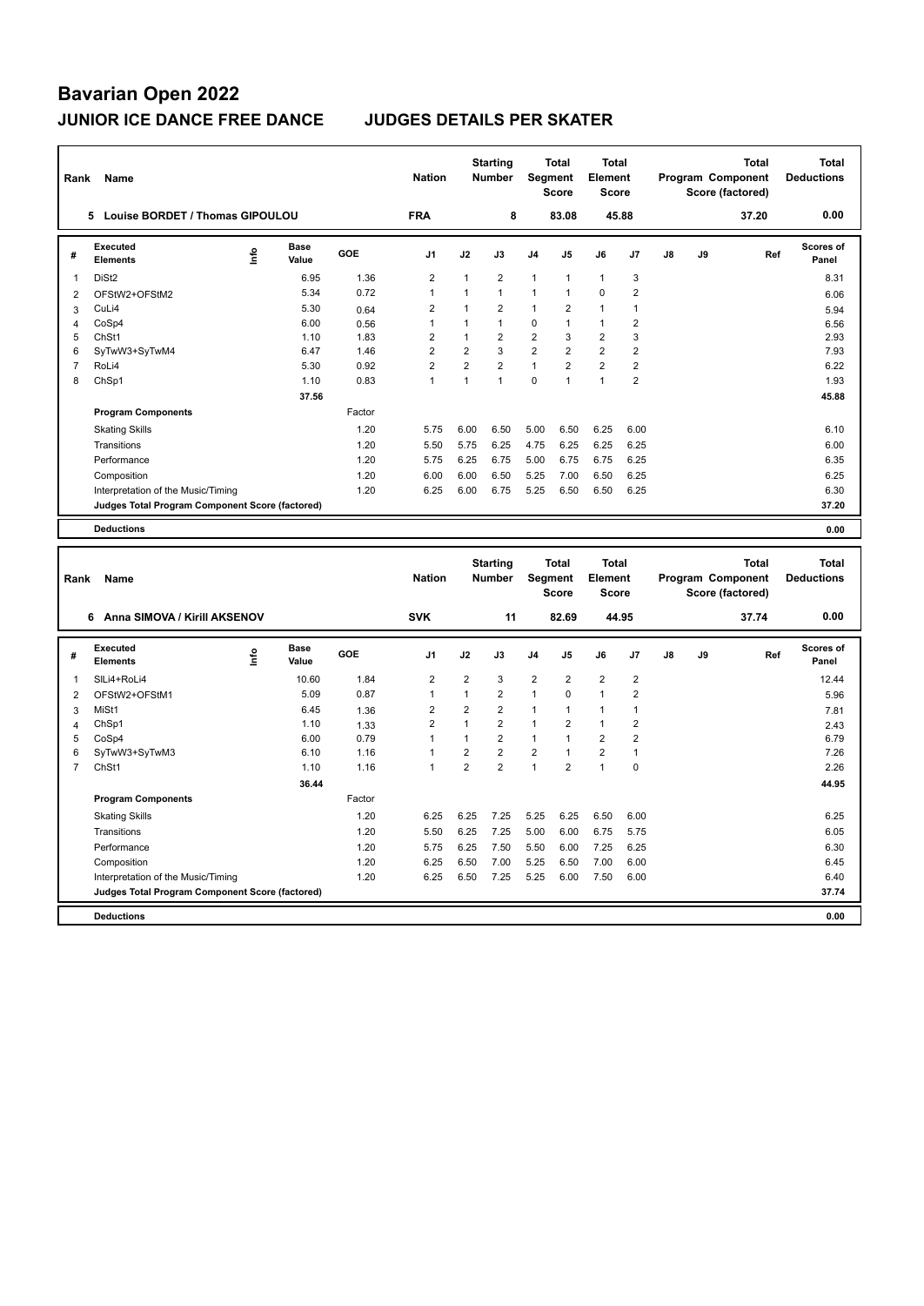| Rank                | Name                                              |      |               |              | <b>Nation</b>                    |                                | <b>Starting</b><br><b>Number</b> | Segment                      | <b>Total</b><br><b>Score</b> | Total<br>Element<br><b>Score</b> |                                  |               |    | Total<br>Program Component<br>Score (factored) |     | <b>Total</b><br><b>Deductions</b> |
|---------------------|---------------------------------------------------|------|---------------|--------------|----------------------------------|--------------------------------|----------------------------------|------------------------------|------------------------------|----------------------------------|----------------------------------|---------------|----|------------------------------------------------|-----|-----------------------------------|
|                     | 5 Louise BORDET / Thomas GIPOULOU                 |      |               |              | <b>FRA</b>                       |                                | 8                                |                              | 83.08                        | 45.88                            |                                  |               |    | 37.20                                          |     | 0.00                              |
| #                   | <b>Executed</b><br><b>Elements</b>                | Info | Base<br>Value | GOE          | J <sub>1</sub>                   | J2                             | J3                               | J4                           | J5                           | J6                               | J7                               | $\mathsf{J}8$ | J9 |                                                | Ref | <b>Scores of</b><br>Panel         |
| $\mathbf{1}$        | DiSt <sub>2</sub>                                 |      | 6.95          | 1.36         | $\overline{2}$                   | 1                              | $\overline{2}$                   | $\mathbf{1}$                 | 1                            | $\mathbf{1}$                     | $\mathbf{3}$                     |               |    |                                                |     | 8.31                              |
| $\overline{2}$      | OFStW2+OFStM2                                     |      | 5.34          | 0.72         | $\mathbf{1}$                     | $\mathbf{1}$                   | $\mathbf{1}$                     | $\mathbf{1}$                 | $\mathbf{1}$                 | 0                                | $\sqrt{2}$                       |               |    |                                                |     | 6.06                              |
| 3                   | CuLi4                                             |      | 5.30          | 0.64         | $\overline{2}$                   | $\mathbf{1}$                   | $\overline{2}$                   | $\mathbf{1}$                 | $\overline{2}$               | $\mathbf{1}$                     | $\overline{1}$                   |               |    |                                                |     | 5.94                              |
| $\overline{4}$      | CoSp4                                             |      | 6.00          | 0.56         | $\mathbf{1}$                     | $\mathbf{1}$                   | 1                                | $\mathbf 0$                  | 1                            | $\mathbf{1}$                     | $\overline{2}$                   |               |    |                                                |     | 6.56                              |
| 5                   | ChSt1                                             |      | 1.10          | 1.83         | $\overline{2}$                   | $\mathbf{1}$                   | $\overline{2}$                   | $\overline{2}$               | 3                            | $\overline{\mathbf{c}}$          | 3                                |               |    |                                                |     | 2.93                              |
| 6                   | SyTwW3+SyTwM4                                     |      | 6.47          | 1.46         | $\overline{2}$                   | $\overline{2}$                 | 3                                | $\overline{2}$               | $\overline{2}$               | $\overline{2}$                   | $\overline{2}$                   |               |    |                                                |     | 7.93                              |
| $\overline{7}$      | RoLi4                                             |      | 5.30          | 0.92         | $\overline{2}$                   | $\overline{2}$                 | $\overline{2}$                   | $\mathbf{1}$                 | $\overline{2}$               | $\overline{2}$                   | $\overline{2}$                   |               |    |                                                |     | 6.22                              |
| 8                   | ChSp1                                             |      | 1.10          | 0.83         | $\mathbf{1}$                     | $\mathbf{1}$                   | $\mathbf{1}$                     | $\mathbf 0$                  | 1                            | 1                                | $\overline{2}$                   |               |    |                                                |     | 1.93                              |
|                     |                                                   |      | 37.56         |              |                                  |                                |                                  |                              |                              |                                  |                                  |               |    |                                                |     | 45.88                             |
|                     | <b>Program Components</b>                         |      |               | Factor       |                                  |                                |                                  |                              |                              |                                  |                                  |               |    |                                                |     |                                   |
|                     | <b>Skating Skills</b>                             |      |               | 1.20         | 5.75                             | 6.00                           | 6.50                             | 5.00                         | 6.50                         | 6.25                             | 6.00                             |               |    |                                                |     | 6.10                              |
|                     | Transitions                                       |      |               | 1.20         | 5.50                             | 5.75                           | 6.25                             | 4.75                         | 6.25                         | 6.25                             | 6.25                             |               |    |                                                |     | 6.00                              |
|                     | Performance                                       |      |               | 1.20         | 5.75                             | 6.25                           | 6.75                             | 5.00                         | 6.75                         | 6.75                             | 6.25                             |               |    |                                                |     | 6.35                              |
|                     | Composition                                       |      |               | 1.20         | 6.00                             | 6.00                           | 6.50                             | 5.25                         | 7.00                         | 6.50                             | 6.25                             |               |    |                                                |     | 6.25                              |
|                     | Interpretation of the Music/Timing                |      |               | 1.20         | 6.25                             | 6.00                           | 6.75                             | 5.25                         | 6.50                         | 6.50                             | 6.25                             |               |    |                                                |     | 6.30                              |
|                     | Judges Total Program Component Score (factored)   |      |               |              |                                  |                                |                                  |                              |                              |                                  |                                  |               |    |                                                |     | 37.20                             |
|                     | <b>Deductions</b>                                 |      |               |              |                                  |                                |                                  |                              |                              |                                  |                                  |               |    |                                                |     | 0.00                              |
|                     |                                                   |      |               |              |                                  |                                |                                  |                              |                              |                                  |                                  |               |    |                                                |     |                                   |
|                     |                                                   |      |               |              |                                  |                                |                                  |                              | <b>Total</b>                 | Total                            |                                  |               |    |                                                |     | <b>Total</b>                      |
|                     |                                                   |      |               |              |                                  |                                | <b>Starting</b>                  |                              |                              |                                  |                                  |               |    | Total                                          |     |                                   |
| Rank                | Name                                              |      |               |              | <b>Nation</b>                    |                                | <b>Number</b>                    | Segment                      |                              | Element                          |                                  |               |    | Program Component                              |     | <b>Deductions</b>                 |
|                     |                                                   |      |               |              |                                  |                                |                                  |                              | <b>Score</b>                 | <b>Score</b>                     |                                  |               |    | Score (factored)                               |     |                                   |
|                     | 6 Anna SIMOVA / Kirill AKSENOV                    |      |               |              | <b>SVK</b>                       |                                | 11                               |                              | 82.69                        | 44.95                            |                                  |               |    | 37.74                                          |     | 0.00                              |
| #                   | Executed<br><b>Elements</b>                       | Info | Base<br>Value | GOE          | J <sub>1</sub>                   | J2                             | J3                               | J <sub>4</sub>               | J5                           | J6                               | J7                               | J8            | J9 |                                                | Ref | <b>Scores of</b><br>Panel         |
|                     |                                                   |      |               |              |                                  |                                |                                  |                              |                              |                                  |                                  |               |    |                                                |     |                                   |
| $\mathbf{1}$        | SILi4+RoLi4                                       |      | 10.60         | 1.84         | $\overline{2}$                   | $\overline{2}$                 | 3                                | $\overline{\mathbf{c}}$      | $\overline{2}$<br>$\Omega$   | $\overline{\mathbf{c}}$          | $\overline{2}$                   |               |    |                                                |     | 12.44                             |
| $\boldsymbol{2}$    | OFStW2+OFStM1                                     |      | 5.09          | 0.87         | $\mathbf{1}$                     | $\mathbf{1}$                   | $\overline{2}$                   | $\mathbf{1}$<br>$\mathbf{1}$ | $\mathbf{1}$                 | $\mathbf{1}$<br>$\mathbf{1}$     | $\overline{2}$                   |               |    |                                                |     | 5.96                              |
| 3                   | MiSt1                                             |      | 6.45          | 1.36         | $\overline{2}$<br>$\overline{2}$ | $\overline{2}$<br>$\mathbf{1}$ | $\overline{2}$                   | $\mathbf{1}$                 | $\overline{2}$               | $\mathbf{1}$                     | $\overline{1}$                   |               |    |                                                |     | 7.81                              |
| $\overline{4}$<br>5 | ChSp1<br>CoSp4                                    |      | 1.10<br>6.00  | 1.33<br>0.79 | $\mathbf{1}$                     | $\mathbf{1}$                   | $\overline{2}$<br>$\overline{2}$ | $\mathbf{1}$                 | 1                            | $\overline{2}$                   | $\overline{2}$<br>$\overline{2}$ |               |    |                                                |     | 2.43<br>6.79                      |
| 6                   | SyTwW3+SyTwM3                                     |      | 6.10          | 1.16         | $\mathbf{1}$                     | $\overline{2}$                 | $\overline{2}$                   | $\overline{2}$               | $\mathbf{1}$                 | $\overline{2}$                   | $\overline{1}$                   |               |    |                                                |     | 7.26                              |
| $\overline{7}$      | ChSt1                                             |      | 1.10          | 1.16         | $\mathbf{1}$                     | $\overline{2}$                 | $\overline{2}$                   | $\mathbf{1}$                 | $\overline{2}$               | 1                                | $\mathbf 0$                      |               |    |                                                |     | 2.26                              |
|                     |                                                   |      | 36.44         |              |                                  |                                |                                  |                              |                              |                                  |                                  |               |    |                                                |     | 44.95                             |
|                     | <b>Program Components</b>                         |      |               | Factor       |                                  |                                |                                  |                              |                              |                                  |                                  |               |    |                                                |     |                                   |
|                     | <b>Skating Skills</b>                             |      |               | 1.20         | 6.25                             | 6.25                           | 7.25                             | 5.25                         | 6.25                         | 6.50                             | 6.00                             |               |    |                                                |     | 6.25                              |
|                     | Transitions                                       |      |               | 1.20         | 5.50                             | 6.25                           | 7.25                             | 5.00                         | 6.00                         | 6.75                             | 5.75                             |               |    |                                                |     | 6.05                              |
|                     | Performance                                       |      |               | 1.20         | 5.75                             | 6.25                           | 7.50                             |                              | 6.00                         | 7.25                             | 6.25                             |               |    |                                                |     | 6.30                              |
|                     |                                                   |      |               | 1.20         |                                  | 6.50                           | 7.00                             | 5.50                         | 6.50                         |                                  |                                  |               |    |                                                |     | 6.45                              |
|                     | Composition<br>Interpretation of the Music/Timing |      |               | 1.20         | 6.25<br>6.25                     | 6.50                           | 7.25                             | 5.25<br>5.25                 | 6.00                         | 7.00<br>7.50                     | 6.00<br>6.00                     |               |    |                                                |     | 6.40                              |
|                     | Judges Total Program Component Score (factored)   |      |               |              |                                  |                                |                                  |                              |                              |                                  |                                  |               |    |                                                |     | 37.74                             |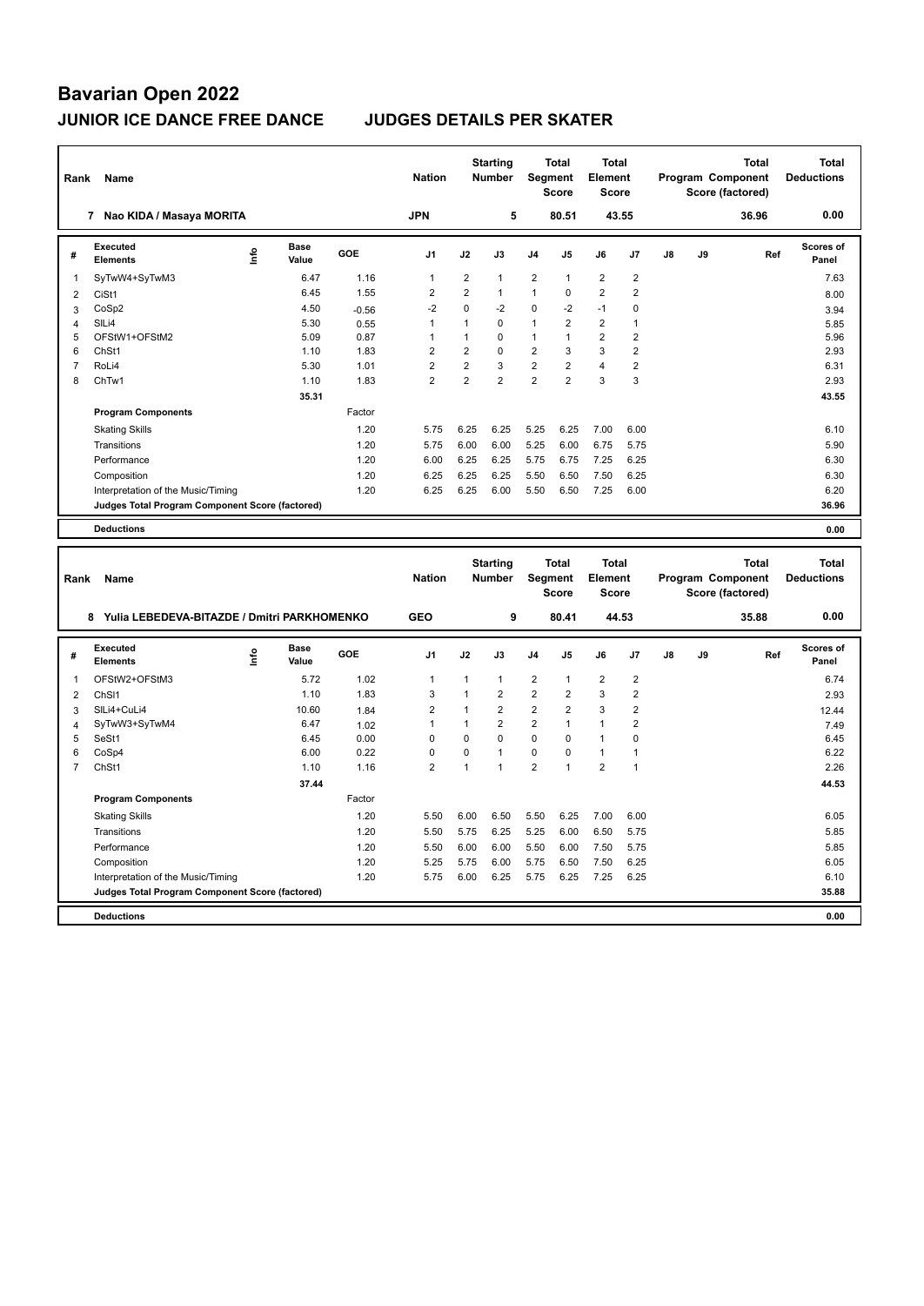| Rank           | <b>Name</b>                                     |      |                      |            | <b>Nation</b>  |                | <b>Starting</b><br><b>Number</b> | Segment                 | <b>Total</b><br><b>Score</b> | <b>Total</b><br><b>Element</b><br><b>Score</b> |                |    | Program Component<br>Score (factored) | <b>Total</b> |              | <b>Total</b><br><b>Deductions</b> |
|----------------|-------------------------------------------------|------|----------------------|------------|----------------|----------------|----------------------------------|-------------------------|------------------------------|------------------------------------------------|----------------|----|---------------------------------------|--------------|--------------|-----------------------------------|
|                | 7 Nao KIDA / Masaya MORITA                      |      |                      |            | <b>JPN</b>     |                | 5                                |                         | 80.51                        | 43.55                                          |                |    |                                       | 36.96        |              | 0.00                              |
| #              | Executed<br><b>Elements</b>                     | ١nf٥ | <b>Base</b><br>Value | <b>GOE</b> | J1             | J2             | J3                               | J4                      | J5                           | J6                                             | J7             | J8 | J9                                    |              | Ref          | <b>Scores of</b><br>Panel         |
| 1              | SyTwW4+SyTwM3                                   |      | 6.47                 | 1.16       | $\mathbf{1}$   | $\overline{2}$ | 1                                | $\overline{2}$          | 1                            | $\overline{2}$                                 | $\overline{2}$ |    |                                       |              |              | 7.63                              |
| $\overline{2}$ | CiSt1                                           |      | 6.45                 | 1.55       | $\sqrt{2}$     | $\overline{2}$ | $\mathbf{1}$                     | $\mathbf{1}$            | $\mathbf 0$                  | $\overline{\mathbf{c}}$                        | $\mathbf 2$    |    |                                       |              |              | 8.00                              |
| 3              | CoSp2                                           |      | 4.50                 | $-0.56$    | $-2$           | $\mathbf 0$    | $-2$                             | $\mathbf 0$             | $-2$                         | $-1$                                           | $\mathbf 0$    |    |                                       |              |              | 3.94                              |
| 4              | SILi4                                           |      | 5.30                 | 0.55       | $\mathbf{1}$   | 1              | 0                                | 1                       | $\overline{2}$               | $\overline{2}$                                 | $\overline{1}$ |    |                                       |              |              | 5.85                              |
| 5              | OFStW1+OFStM2                                   |      | 5.09                 | 0.87       | $\mathbf{1}$   | $\mathbf{1}$   | 0                                | $\mathbf{1}$            | 1                            | $\overline{2}$                                 | $\overline{2}$ |    |                                       |              |              | 5.96                              |
| 6              | ChSt1                                           |      | 1.10                 | 1.83       | $\overline{2}$ | $\overline{2}$ | 0                                | $\overline{2}$          | 3                            | 3                                              | $\overline{2}$ |    |                                       |              |              | 2.93                              |
| $\overline{7}$ | RoLi4                                           |      | 5.30                 | 1.01       | $\overline{2}$ | $\overline{2}$ | 3                                | $\overline{\mathbf{c}}$ | $\overline{\mathbf{c}}$      | 4                                              | $\mathbf 2$    |    |                                       |              |              | 6.31                              |
| 8              | ChTw1                                           |      | 1.10                 | 1.83       | $\overline{2}$ | $\overline{2}$ | $\overline{2}$                   | $\overline{2}$          | $\overline{2}$               | 3                                              | 3              |    |                                       |              |              | 2.93                              |
|                |                                                 |      | 35.31                |            |                |                |                                  |                         |                              |                                                |                |    |                                       |              |              | 43.55                             |
|                | <b>Program Components</b>                       |      |                      | Factor     |                |                |                                  |                         |                              |                                                |                |    |                                       |              |              |                                   |
|                | <b>Skating Skills</b>                           |      |                      | 1.20       | 5.75           | 6.25           | 6.25                             | 5.25                    | 6.25                         | 7.00                                           | 6.00           |    |                                       |              |              | 6.10                              |
|                | Transitions                                     |      |                      | 1.20       | 5.75           | 6.00           | 6.00                             | 5.25                    | 6.00                         | 6.75                                           | 5.75           |    |                                       |              |              | 5.90                              |
|                | Performance                                     |      |                      | 1.20       | 6.00           | 6.25           | 6.25                             | 5.75                    | 6.75                         | 7.25                                           | 6.25           |    |                                       |              |              | 6.30                              |
|                | Composition                                     |      |                      | 1.20       | 6.25           | 6.25           | 6.25                             | 5.50                    | 6.50                         | 7.50                                           | 6.25           |    |                                       |              |              | 6.30                              |
|                | Interpretation of the Music/Timing              |      |                      | 1.20       | 6.25           | 6.25           | 6.00                             | 5.50                    | 6.50                         | 7.25                                           | 6.00           |    |                                       |              |              | 6.20                              |
|                | Judges Total Program Component Score (factored) |      |                      |            |                |                |                                  |                         |                              |                                                |                |    |                                       |              |              | 36.96                             |
|                | <b>Deductions</b>                               |      |                      |            |                |                |                                  |                         |                              |                                                |                |    |                                       |              |              | 0.00                              |
|                |                                                 |      |                      |            |                |                |                                  |                         |                              |                                                |                |    |                                       |              |              |                                   |
|                |                                                 |      |                      |            |                |                |                                  |                         |                              |                                                |                |    |                                       |              |              |                                   |
|                |                                                 |      |                      |            |                |                | <b>Starting</b>                  |                         | Total                        | Total                                          |                |    |                                       |              | <b>Total</b> | <b>Total</b>                      |
| Rank           | Name                                            |      |                      |            | <b>Nation</b>  |                | <b>Number</b>                    | Segment                 |                              | Element                                        |                |    | Program Component                     |              |              | <b>Deductions</b>                 |
|                |                                                 |      |                      |            |                |                |                                  |                         | <b>Score</b>                 | <b>Score</b>                                   |                |    | Score (factored)                      |              |              |                                   |
|                | 8 Yulia LEBEDEVA-BITAZDE / Dmitri PARKHOMENKO   |      |                      |            | <b>GEO</b>     |                | 9                                |                         | 80.41                        | 44.53                                          |                |    |                                       | 35.88        |              | 0.00                              |
| #              | Executed<br><b>Elements</b>                     | lnfo | <b>Base</b><br>Value | GOE        | J1             | J2             | J3                               | J <sub>4</sub>          | J5                           | J6                                             | J7             | J8 | J9                                    |              | Ref          | <b>Scores of</b><br>Panel         |
| 1              | OFStW2+OFStM3                                   |      | 5.72                 | 1.02       | $\mathbf{1}$   | 1              | 1                                | $\overline{2}$          | 1                            | $\overline{2}$                                 | $\overline{2}$ |    |                                       |              |              | 6.74                              |
|                | ChS <sub>11</sub>                               |      | 1.10                 | 1.83       | $\mathbf{3}$   | 1              | $\overline{2}$                   | $\overline{2}$          | $\overline{2}$               | 3                                              | $\overline{2}$ |    |                                       |              |              | 2.93                              |
| 2<br>3         | SILi4+CuLi4                                     |      | 10.60                | 1.84       | $\overline{2}$ | $\mathbf{1}$   | $\overline{2}$                   | $\overline{2}$          | $\overline{2}$               | 3                                              | $\overline{2}$ |    |                                       |              |              | 12.44                             |
| 4              | SyTwW3+SyTwM4                                   |      | 6.47                 | 1.02       | $\mathbf{1}$   | $\mathbf{1}$   | $\overline{2}$                   | $\boldsymbol{2}$        | $\mathbf{1}$                 | $\mathbf{1}$                                   | $\overline{2}$ |    |                                       |              |              | 7.49                              |
| 5              | SeSt1                                           |      | 6.45                 | 0.00       | $\mathbf 0$    | $\mathbf 0$    | 0                                | $\mathbf 0$             | $\mathbf 0$                  | $\mathbf{1}$                                   | $\mathbf 0$    |    |                                       |              |              | 6.45                              |
| 6              | CoSp4                                           |      | 6.00                 | 0.22       | $\mathbf 0$    | $\mathbf 0$    | $\mathbf{1}$                     | $\mathbf 0$             | 0                            | $\mathbf{1}$                                   | $\mathbf{1}$   |    |                                       |              |              | 6.22                              |
| $\overline{7}$ | ChSt1                                           |      | 1.10                 | 1.16       | $\overline{2}$ | $\overline{1}$ | 1                                | $\overline{2}$          | $\mathbf{1}$                 | $\overline{2}$                                 | $\overline{1}$ |    |                                       |              |              | 2.26                              |
|                |                                                 |      | 37.44                |            |                |                |                                  |                         |                              |                                                |                |    |                                       |              |              | 44.53                             |
|                | <b>Program Components</b>                       |      |                      | Factor     |                |                |                                  |                         |                              |                                                |                |    |                                       |              |              |                                   |
|                | <b>Skating Skills</b>                           |      |                      | 1.20       | 5.50           | 6.00           | 6.50                             | 5.50                    | 6.25                         | 7.00                                           | 6.00           |    |                                       |              |              | 6.05                              |
|                | Transitions                                     |      |                      | 1.20       | 5.50           | 5.75           | 6.25                             | 5.25                    | 6.00                         | 6.50                                           | 5.75           |    |                                       |              |              | 5.85                              |
|                | Performance                                     |      |                      | 1.20       | 5.50           | 6.00           | 6.00                             | 5.50                    | 6.00                         | 7.50                                           | 5.75           |    |                                       |              |              | 5.85                              |
|                | Composition                                     |      |                      | 1.20       | 5.25           | 5.75           | 6.00                             | 5.75                    | 6.50                         | 7.50                                           | 6.25           |    |                                       |              |              | 6.05                              |
|                | Interpretation of the Music/Timing              |      |                      | 1.20       | 5.75           | 6.00           | 6.25                             | 5.75                    | 6.25                         | 7.25                                           | 6.25           |    |                                       |              |              | 6.10                              |
|                | Judges Total Program Component Score (factored) |      |                      |            |                |                |                                  |                         |                              |                                                |                |    |                                       |              |              | 35.88                             |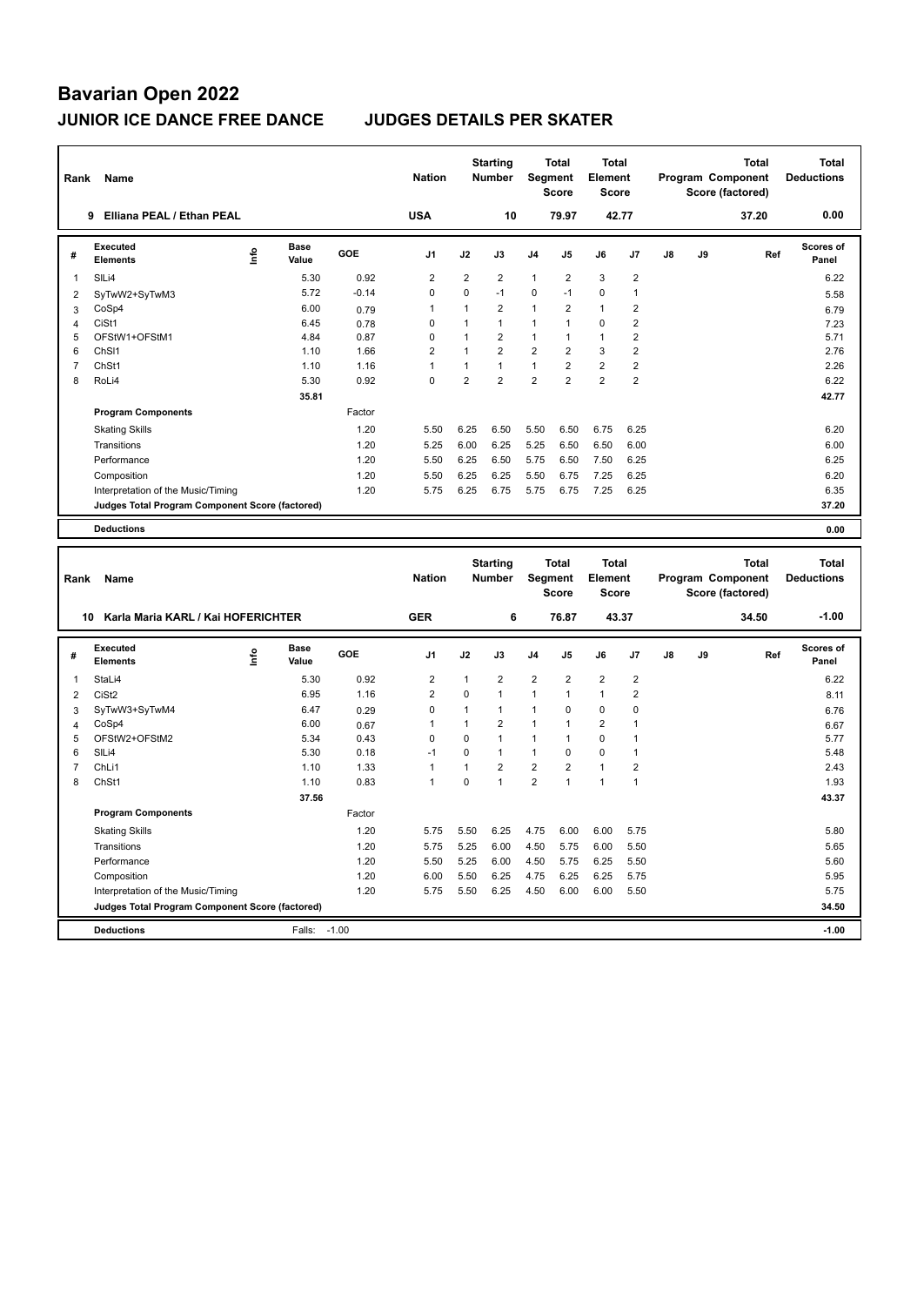| Rank           | Name                                            |      |               |              | <b>Nation</b>  |                | <b>Starting</b><br><b>Number</b> |                | <b>Total</b><br>Segment<br><b>Score</b> | <b>Total</b><br>Element<br><b>Score</b> |                                  |    | Program Component<br>Score (factored) |       | <b>Total</b> | <b>Total</b><br><b>Deductions</b> |
|----------------|-------------------------------------------------|------|---------------|--------------|----------------|----------------|----------------------------------|----------------|-----------------------------------------|-----------------------------------------|----------------------------------|----|---------------------------------------|-------|--------------|-----------------------------------|
|                | 9 Elliana PEAL / Ethan PEAL                     |      |               |              | <b>USA</b>     |                | 10                               |                | 79.97                                   | 42.77                                   |                                  |    |                                       | 37.20 |              | 0.00                              |
| #              | <b>Executed</b><br><b>Elements</b>              | ١nf٥ | Base<br>Value | GOE          | J1             | J2             | J3                               | J <sub>4</sub> | J5                                      | J6                                      | J7                               | J8 | J9                                    |       | Ref          | <b>Scores of</b><br>Panel         |
| $\mathbf{1}$   | SILi4                                           |      | 5.30          | 0.92         | $\overline{2}$ | $\overline{2}$ | $\overline{2}$                   | $\mathbf{1}$   | $\overline{2}$                          | 3                                       | $\overline{2}$                   |    |                                       |       |              | 6.22                              |
| $\overline{2}$ | SyTwW2+SyTwM3                                   |      | 5.72          | $-0.14$      | $\mathbf 0$    | $\mathbf 0$    | $-1$                             | 0              | $-1$                                    | 0                                       | $\overline{1}$                   |    |                                       |       |              | 5.58                              |
| 3              | CoSp4                                           |      | 6.00          | 0.79         | $\overline{1}$ | $\mathbf{1}$   | $\overline{2}$                   | $\mathbf{1}$   | $\overline{2}$                          | $\mathbf{1}$                            | $\overline{2}$                   |    |                                       |       |              | 6.79                              |
| 4              | CiSt1                                           |      | 6.45          | 0.78         | $\Omega$       | 1              | $\mathbf{1}$                     | 1              | $\mathbf{1}$                            | 0                                       | $\overline{2}$                   |    |                                       |       |              | 7.23                              |
| 5              | OFStW1+OFStM1                                   |      | 4.84          | 0.87         | $\pmb{0}$      | 1              | $\overline{2}$                   | $\mathbf{1}$   | 1                                       | 1                                       | $\overline{2}$                   |    |                                       |       |              | 5.71                              |
| 6              | Ch <sub>SI1</sub>                               |      | 1.10          | 1.66         | $\overline{2}$ | $\mathbf{1}$   | $\overline{2}$                   | $\overline{2}$ | $\overline{2}$                          | 3                                       | $\overline{2}$                   |    |                                       |       |              | 2.76                              |
| $\overline{7}$ | ChSt1                                           |      | 1.10          | 1.16         | $\mathbf{1}$   | $\mathbf{1}$   | $\mathbf{1}$                     | $\mathbf{1}$   | $\overline{\mathbf{c}}$                 | $\overline{\mathbf{c}}$                 | $\overline{2}$                   |    |                                       |       |              | 2.26                              |
| 8              | RoLi4                                           |      | 5.30          | 0.92         | $\mathbf 0$    | $\overline{2}$ | $\overline{2}$                   | $\overline{2}$ | $\overline{2}$                          | $\overline{2}$                          | $\overline{2}$                   |    |                                       |       |              | 6.22                              |
|                |                                                 |      | 35.81         |              |                |                |                                  |                |                                         |                                         |                                  |    |                                       |       |              | 42.77                             |
|                | <b>Program Components</b>                       |      |               | Factor       |                |                |                                  |                |                                         |                                         |                                  |    |                                       |       |              |                                   |
|                | <b>Skating Skills</b>                           |      |               | 1.20         | 5.50           | 6.25           | 6.50                             | 5.50           | 6.50                                    | 6.75                                    | 6.25                             |    |                                       |       |              | 6.20                              |
|                | Transitions                                     |      |               | 1.20         | 5.25           | 6.00           | 6.25                             | 5.25           | 6.50                                    | 6.50                                    | 6.00                             |    |                                       |       |              | 6.00                              |
|                | Performance                                     |      |               | 1.20         | 5.50           | 6.25           | 6.50                             | 5.75           | 6.50                                    | 7.50                                    | 6.25                             |    |                                       |       |              | 6.25                              |
|                | Composition                                     |      |               | 1.20         | 5.50           | 6.25           | 6.25                             | 5.50           | 6.75                                    | 7.25                                    | 6.25                             |    |                                       |       |              | 6.20                              |
|                | Interpretation of the Music/Timing              |      |               | 1.20         | 5.75           | 6.25           | 6.75                             | 5.75           | 6.75                                    | 7.25                                    | 6.25                             |    |                                       |       |              | 6.35                              |
|                | Judges Total Program Component Score (factored) |      |               |              |                |                |                                  |                |                                         |                                         |                                  |    |                                       |       |              | 37.20                             |
|                | <b>Deductions</b>                               |      |               |              |                |                |                                  |                |                                         |                                         |                                  |    |                                       |       |              | 0.00                              |
|                |                                                 |      |               |              |                |                |                                  |                |                                         |                                         |                                  |    |                                       |       |              |                                   |
|                |                                                 |      |               |              |                |                |                                  |                |                                         |                                         |                                  |    |                                       |       |              |                                   |
| Rank           | <b>Name</b>                                     |      |               |              | <b>Nation</b>  |                | <b>Starting</b><br>Number        |                | <b>Total</b><br>Segment<br><b>Score</b> | <b>Total</b><br>Element<br><b>Score</b> |                                  |    | Program Component<br>Score (factored) |       | <b>Total</b> | <b>Total</b><br><b>Deductions</b> |
|                | Karla Maria KARL / Kai HOFERICHTER<br>10        |      |               |              | <b>GER</b>     |                | 6                                |                | 76.87                                   | 43.37                                   |                                  |    |                                       | 34.50 |              | $-1.00$                           |
| #              | <b>Executed</b><br><b>Elements</b>              | lnfo | Base<br>Value | GOE          | J1             | J2             | J3                               | J <sub>4</sub> | J5                                      | J6                                      | J7                               | J8 | J9                                    |       | Ref          | <b>Scores of</b><br>Panel         |
| 1              | StaLi4                                          |      | 5.30          | 0.92         | $\overline{2}$ | $\mathbf{1}$   | $\overline{2}$                   | $\overline{2}$ | $\overline{2}$                          | $\overline{2}$                          |                                  |    |                                       |       |              | 6.22                              |
|                |                                                 |      | 6.95          |              | $\overline{2}$ | $\mathbf 0$    | $\mathbf{1}$                     | $\mathbf{1}$   | 1                                       | $\mathbf{1}$                            | $\sqrt{2}$                       |    |                                       |       |              |                                   |
| $\overline{c}$ | CiSt <sub>2</sub>                               |      | 6.47          | 1.16         | $\mathbf 0$    | 1              | $\mathbf{1}$                     | $\mathbf{1}$   | $\mathbf 0$                             | 0                                       | $\overline{2}$<br>$\mathbf 0$    |    |                                       |       |              | 8.11                              |
| 3              | SyTwW3+SyTwM4                                   |      |               | 0.29         | $\mathbf{1}$   | $\mathbf{1}$   | $\overline{2}$                   | $\mathbf{1}$   | 1                                       |                                         |                                  |    |                                       |       |              | 6.76                              |
| 4<br>5         | CoSp4<br>OFStW2+OFStM2                          |      | 6.00<br>5.34  | 0.67<br>0.43 | $\mathbf 0$    | $\mathbf 0$    | $\mathbf{1}$                     | $\mathbf{1}$   | $\mathbf{1}$                            | $\overline{\mathbf{c}}$<br>$\mathbf 0$  | $\overline{1}$<br>$\overline{1}$ |    |                                       |       |              | 6.67<br>5.77                      |
| 6              | SILi4                                           |      | 5.30          | 0.18         | $-1$           | $\Omega$       | $\mathbf{1}$                     | $\mathbf{1}$   | $\Omega$                                | $\Omega$                                | $\overline{1}$                   |    |                                       |       |              | 5.48                              |
| $\overline{7}$ | ChL <sub>i1</sub>                               |      | 1.10          | 1.33         | $\mathbf{1}$   | $\mathbf{1}$   | $\overline{2}$                   | $\overline{2}$ | $\overline{2}$                          | $\mathbf{1}$                            | $\sqrt{2}$                       |    |                                       |       |              | 2.43                              |
| 8              | ChSt1                                           |      | 1.10          | 0.83         | $\overline{1}$ | $\Omega$       | $\mathbf{1}$                     | $\overline{2}$ | $\mathbf{1}$                            | $\mathbf{1}$                            | $\mathbf{1}$                     |    |                                       |       |              | 1.93                              |
|                |                                                 |      | 37.56         |              |                |                |                                  |                |                                         |                                         |                                  |    |                                       |       |              | 43.37                             |
|                | <b>Program Components</b>                       |      |               | Factor       |                |                |                                  |                |                                         |                                         |                                  |    |                                       |       |              |                                   |
|                | <b>Skating Skills</b>                           |      |               | 1.20         | 5.75           | 5.50           | 6.25                             | 4.75           | 6.00                                    | 6.00                                    | 5.75                             |    |                                       |       |              | 5.80                              |
|                | Transitions                                     |      |               | 1.20         | 5.75           | 5.25           | 6.00                             | 4.50           | 5.75                                    | 6.00                                    | 5.50                             |    |                                       |       |              | 5.65                              |
|                | Performance                                     |      |               | 1.20         | 5.50           | 5.25           | 6.00                             | 4.50           | 5.75                                    | 6.25                                    | 5.50                             |    |                                       |       |              | 5.60                              |
|                | Composition                                     |      |               | 1.20         | 6.00           | 5.50           | 6.25                             | 4.75           | 6.25                                    | 6.25                                    | 5.75                             |    |                                       |       |              | 5.95                              |
|                | Interpretation of the Music/Timing              |      |               | 1.20         | 5.75           | 5.50           | 6.25                             | 4.50           | 6.00                                    | 6.00                                    | 5.50                             |    |                                       |       |              | 5.75                              |
|                | Judges Total Program Component Score (factored) |      |               |              |                |                |                                  |                |                                         |                                         |                                  |    |                                       |       |              | 34.50                             |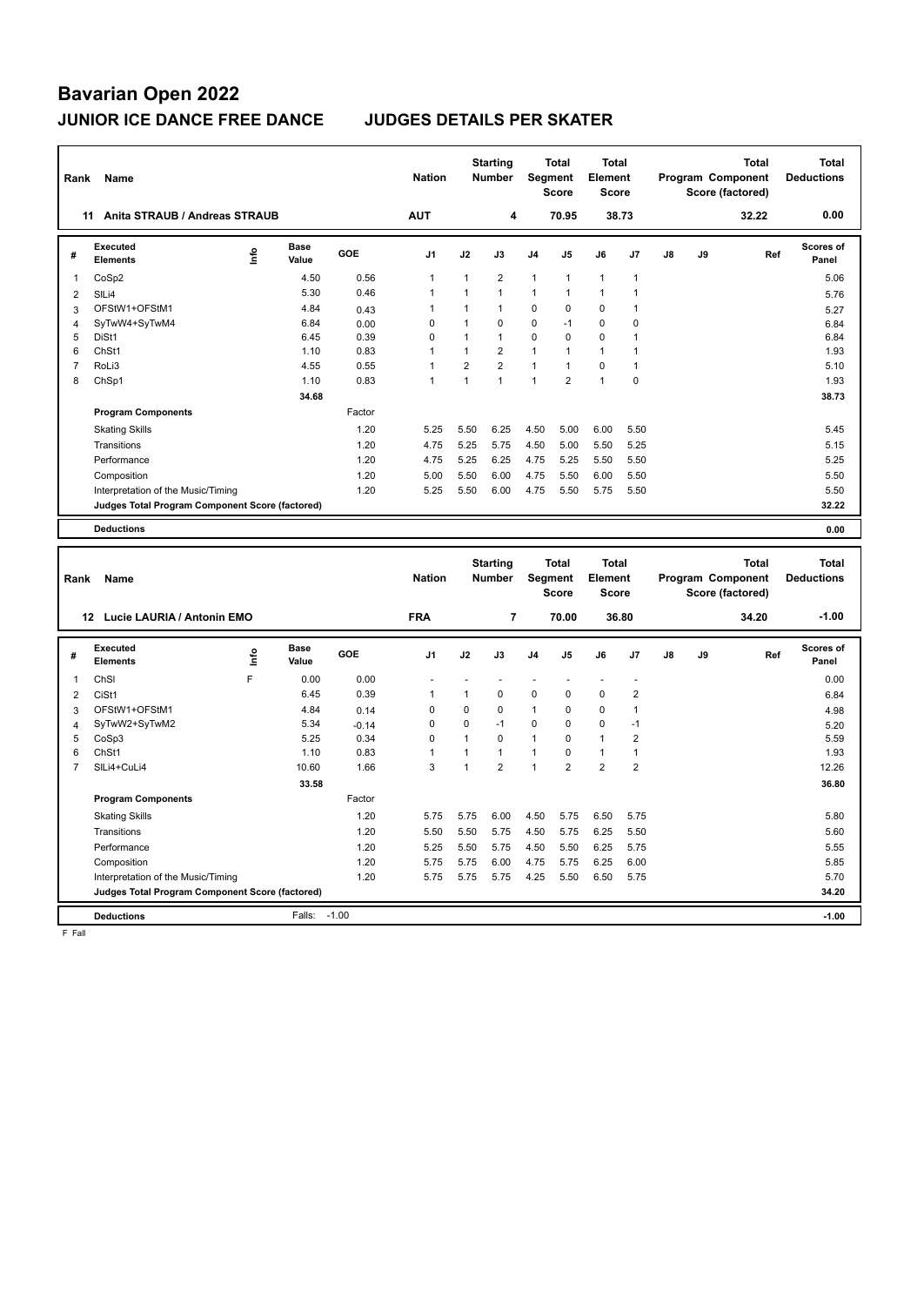| Rank                | Name                                            |      |                      |                 | <b>Nation</b>              |                            | <b>Starting</b><br><b>Number</b> | Segment           | <b>Total</b><br><b>Score</b> | <b>Total</b><br>Element<br><b>Score</b>        |                      |    |    | <b>Total</b><br>Program Component<br>Score (factored) |     | <b>Total</b><br><b>Deductions</b> |
|---------------------|-------------------------------------------------|------|----------------------|-----------------|----------------------------|----------------------------|----------------------------------|-------------------|------------------------------|------------------------------------------------|----------------------|----|----|-------------------------------------------------------|-----|-----------------------------------|
|                     | 11 Anita STRAUB / Andreas STRAUB                |      |                      |                 | <b>AUT</b>                 |                            | 4                                |                   | 70.95                        |                                                | 38.73                |    |    | 32.22                                                 |     | 0.00                              |
| #                   | Executed<br><b>Elements</b>                     | lnfo | <b>Base</b><br>Value | GOE             | J <sub>1</sub>             | J2                         | J3                               | J4                | J5                           | J6                                             | J7                   | J8 | J9 |                                                       | Ref | <b>Scores of</b><br>Panel         |
| $\mathbf{1}$        | CoSp2                                           |      | 4.50                 | 0.56            | $\mathbf{1}$               | $\mathbf{1}$               | $\overline{2}$                   | 1                 | 1                            | $\mathbf{1}$                                   | $\mathbf{1}$         |    |    |                                                       |     | 5.06                              |
| $\overline{c}$      | SILi4                                           |      | 5.30                 | 0.46            | $\mathbf{1}$               | 1                          | $\mathbf{1}$                     | 1                 | 1                            | $\mathbf{1}$                                   | 1                    |    |    |                                                       |     | 5.76                              |
| 3                   | OFStW1+OFStM1                                   |      | 4.84                 | 0.43            | $\mathbf{1}$               | 1                          | $\mathbf{1}$                     | 0                 | $\mathbf 0$                  | $\mathbf 0$                                    | $\overline{1}$       |    |    |                                                       |     | 5.27                              |
| $\overline{4}$      | SyTwW4+SyTwM4                                   |      | 6.84                 | 0.00            | $\mathbf 0$                | $\mathbf{1}$               | $\mathbf 0$                      | 0                 | $-1$                         | $\mathbf 0$                                    | $\pmb{0}$            |    |    |                                                       |     | 6.84                              |
| 5                   | DiSt1                                           |      | 6.45                 | 0.39            | $\mathbf 0$                | $\mathbf{1}$               | $\mathbf{1}$                     | 0                 | $\mathbf 0$                  | $\mathbf 0$                                    | $\mathbf{1}$         |    |    |                                                       |     | 6.84                              |
| 6                   | ChSt1                                           |      | 1.10                 | 0.83            | $\mathbf{1}$               | $\mathbf{1}$               | $\overline{2}$                   | 1                 | $\mathbf{1}$                 | $\mathbf{1}$                                   | $\mathbf{1}$         |    |    |                                                       |     | 1.93                              |
| $\overline{7}$      | RoLi3                                           |      | 4.55                 | 0.55            | $\mathbf{1}$               | $\overline{2}$             | $\overline{2}$                   | $\mathbf{1}$      | $\mathbf{1}$                 | $\mathbf 0$                                    | 1                    |    |    |                                                       |     | 5.10                              |
| 8                   | ChSp1                                           |      | 1.10                 | 0.83            | $\overline{1}$             | $\mathbf{1}$               | $\mathbf{1}$                     | 1                 | $\overline{2}$               | $\mathbf{1}$                                   | $\pmb{0}$            |    |    |                                                       |     | 1.93                              |
|                     |                                                 |      | 34.68                |                 |                            |                            |                                  |                   |                              |                                                |                      |    |    |                                                       |     | 38.73                             |
|                     | <b>Program Components</b>                       |      |                      | Factor          |                            |                            |                                  |                   |                              |                                                |                      |    |    |                                                       |     |                                   |
|                     | <b>Skating Skills</b>                           |      |                      | 1.20            | 5.25                       | 5.50                       | 6.25                             | 4.50              | 5.00                         | 6.00                                           | 5.50                 |    |    |                                                       |     | 5.45                              |
|                     | Transitions                                     |      |                      | 1.20            | 4.75                       | 5.25                       | 5.75                             | 4.50              | 5.00                         | 5.50                                           | 5.25                 |    |    |                                                       |     | 5.15                              |
|                     | Performance                                     |      |                      | 1.20            | 4.75                       | 5.25                       | 6.25                             | 4.75              | 5.25                         | 5.50                                           | 5.50                 |    |    |                                                       |     | 5.25                              |
|                     | Composition                                     |      |                      | 1.20            | 5.00                       | 5.50                       | 6.00                             | 4.75              | 5.50                         | 6.00                                           | 5.50                 |    |    |                                                       |     | 5.50                              |
|                     | Interpretation of the Music/Timing              |      |                      | 1.20            | 5.25                       | 5.50                       | 6.00                             | 4.75              | 5.50                         | 5.75                                           | 5.50                 |    |    |                                                       |     | 5.50                              |
|                     | Judges Total Program Component Score (factored) |      |                      |                 |                            |                            |                                  |                   |                              |                                                |                      |    |    |                                                       |     | 32.22                             |
|                     | <b>Deductions</b>                               |      |                      |                 |                            |                            |                                  |                   |                              |                                                |                      |    |    |                                                       |     | 0.00                              |
|                     |                                                 |      |                      |                 |                            |                            |                                  |                   |                              |                                                |                      |    |    |                                                       |     |                                   |
|                     |                                                 |      |                      |                 |                            |                            |                                  |                   |                              |                                                |                      |    |    |                                                       |     |                                   |
| Rank                | Name                                            |      |                      |                 | <b>Nation</b>              |                            | <b>Starting</b><br><b>Number</b> | Segment           | <b>Total</b><br><b>Score</b> | <b>Total</b><br><b>Element</b><br><b>Score</b> |                      |    |    | Total<br>Program Component<br>Score (factored)        |     | <b>Total</b><br><b>Deductions</b> |
|                     | 12 Lucie LAURIA / Antonin EMO                   |      |                      |                 | <b>FRA</b>                 |                            | 7                                |                   | 70.00                        |                                                | 36.80                |    |    | 34.20                                                 |     | $-1.00$                           |
|                     |                                                 |      |                      |                 |                            |                            |                                  |                   |                              |                                                |                      |    |    |                                                       |     |                                   |
| #                   | <b>Executed</b><br>Elements                     | Info | <b>Base</b><br>Value | <b>GOE</b>      | J <sub>1</sub>             | J2                         | J3                               | J4                | J5                           | J6                                             | J <sub>7</sub>       | J8 | J9 |                                                       | Ref | <b>Scores of</b><br>Panel         |
| 1                   |                                                 | F    |                      |                 | ÷                          |                            |                                  | ÷                 |                              |                                                | ł,                   |    |    |                                                       |     |                                   |
|                     | ChSI                                            |      | 0.00                 | 0.00            | $\overline{1}$             | $\overline{1}$             |                                  |                   |                              |                                                |                      |    |    |                                                       |     | 0.00                              |
| $\overline{2}$      | CiSt1                                           |      | 6.45                 | 0.39            |                            |                            | $\mathbf 0$                      | 0                 | $\pmb{0}$                    | $\mathbf 0$                                    | $\overline{2}$       |    |    |                                                       |     | 6.84                              |
| 3                   | OFStW1+OFStM1                                   |      | 4.84<br>5.34         | 0.14            | $\mathbf 0$<br>$\mathbf 0$ | $\mathbf 0$<br>$\mathbf 0$ | $\mathbf 0$<br>$-1$              | $\mathbf{1}$<br>0 | $\mathbf 0$<br>$\mathbf 0$   | $\mathbf 0$<br>$\mathbf 0$                     | $\mathbf{1}$<br>$-1$ |    |    |                                                       |     | 4.98                              |
| $\overline{4}$<br>5 | SyTwW2+SyTwM2<br>CoSp3                          |      | 5.25                 | $-0.14$<br>0.34 | $\mathbf 0$                | $\mathbf{1}$               | $\mathbf 0$                      | $\mathbf{1}$      | $\pmb{0}$                    | $\mathbf{1}$                                   | $\overline{2}$       |    |    |                                                       |     | 5.20<br>5.59                      |
| 6                   | ChSt1                                           |      | 1.10                 | 0.83            | $\mathbf{1}$               | $\mathbf{1}$               | $\mathbf{1}$                     | 1                 | $\mathbf 0$                  | $\mathbf{1}$                                   | $\mathbf{1}$         |    |    |                                                       |     | 1.93                              |
| $\overline{7}$      | SILi4+CuLi4                                     |      | 10.60                | 1.66            | 3                          | $\overline{1}$             | $\overline{2}$                   | 1                 | $\overline{2}$               | $\overline{2}$                                 | $\overline{2}$       |    |    |                                                       |     | 12.26                             |
|                     |                                                 |      | 33.58                |                 |                            |                            |                                  |                   |                              |                                                |                      |    |    |                                                       |     | 36.80                             |
|                     | <b>Program Components</b>                       |      |                      | Factor          |                            |                            |                                  |                   |                              |                                                |                      |    |    |                                                       |     |                                   |
|                     | <b>Skating Skills</b>                           |      |                      | 1.20            | 5.75                       | 5.75                       | 6.00                             | 4.50              | 5.75                         | 6.50                                           | 5.75                 |    |    |                                                       |     | 5.80                              |
|                     | Transitions                                     |      |                      | 1.20            | 5.50                       | 5.50                       | 5.75                             | 4.50              | 5.75                         | 6.25                                           | 5.50                 |    |    |                                                       |     | 5.60                              |
|                     | Performance                                     |      |                      | 1.20            | 5.25                       | 5.50                       | 5.75                             | 4.50              | 5.50                         | 6.25                                           | 5.75                 |    |    |                                                       |     | 5.55                              |
|                     | Composition                                     |      |                      | 1.20            | 5.75                       | 5.75                       | 6.00                             | 4.75              | 5.75                         | 6.25                                           | 6.00                 |    |    |                                                       |     | 5.85                              |
|                     | Interpretation of the Music/Timing              |      |                      | 1.20            | 5.75                       | 5.75                       | 5.75                             | 4.25              | 5.50                         | 6.50                                           | 5.75                 |    |    |                                                       |     | 5.70                              |
|                     | Judges Total Program Component Score (factored) |      |                      |                 |                            |                            |                                  |                   |                              |                                                |                      |    |    |                                                       |     | 34.20                             |

F Fall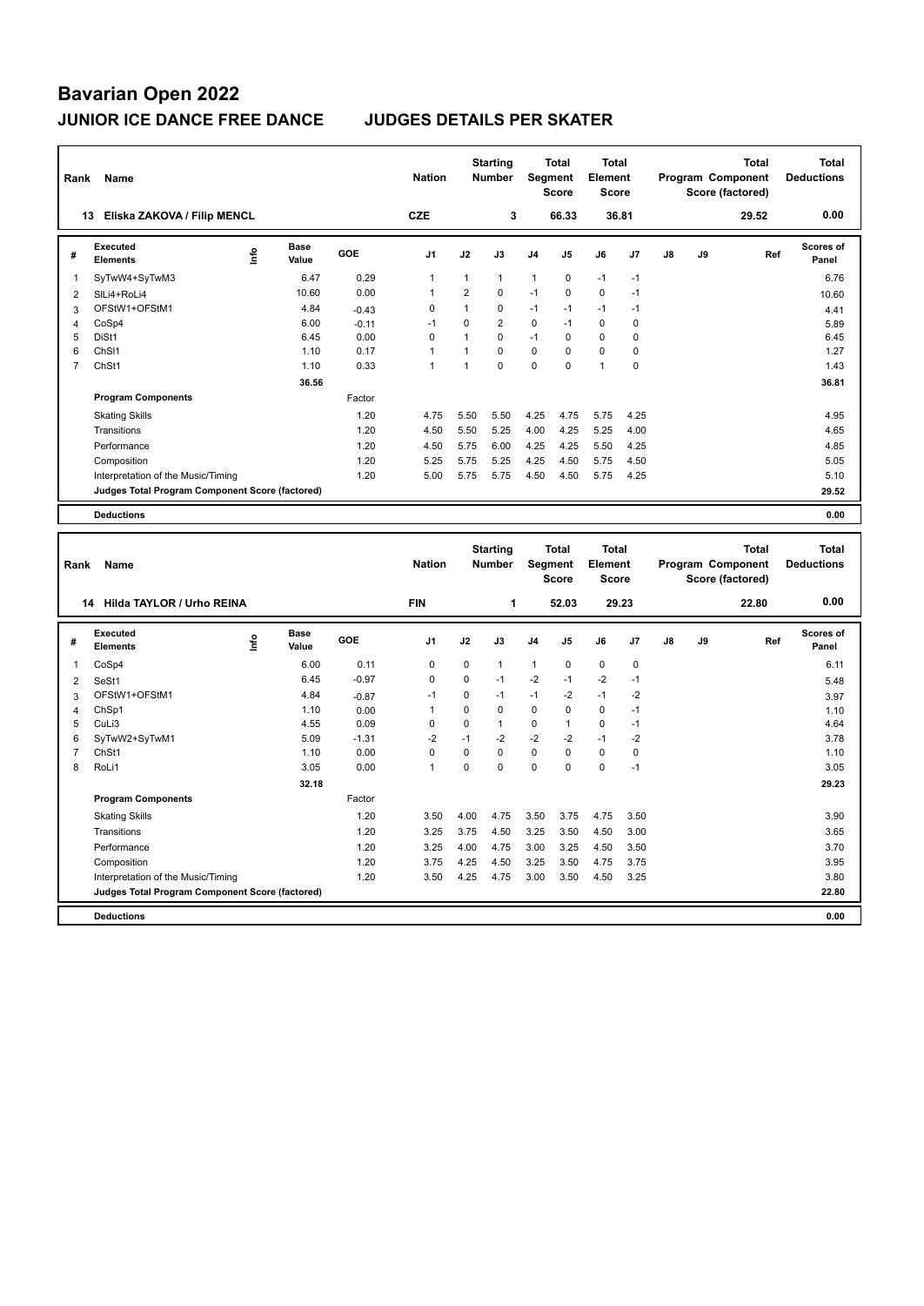| Rank           | Name                                            |                              |            | <b>Nation</b>  |                | <b>Starting</b><br><b>Number</b> |                | <b>Total</b><br>Segment<br><b>Score</b> | <b>Total</b><br>Element<br><b>Score</b> |                |                 |        | <b>Total</b><br>Program Component<br>Score (factored) | <b>Total</b><br><b>Deductions</b> |
|----------------|-------------------------------------------------|------------------------------|------------|----------------|----------------|----------------------------------|----------------|-----------------------------------------|-----------------------------------------|----------------|-----------------|--------|-------------------------------------------------------|-----------------------------------|
|                | Eliska ZAKOVA / Filip MENCL<br>13               |                              |            | <b>CZE</b>     |                | 3                                |                | 66.33                                   | 36.81                                   |                |                 |        | 29.52                                                 | 0.00                              |
| #              | <b>Executed</b><br><b>Elements</b>              | <b>Base</b><br>lnfo<br>Value | GOE        | J <sub>1</sub> | J2             | J3                               | J <sub>4</sub> | J <sub>5</sub>                          | J6                                      | J7             | $\mathsf{J}8$   | J9     | Ref                                                   | Scores of<br>Panel                |
| 1              | SyTwW4+SyTwM3                                   | 6.47                         | 0.29       | $\overline{1}$ | $\mathbf{1}$   | $\mathbf{1}$                     | 1              | $\mathbf 0$                             | $-1$                                    | $-1$           |                 |        |                                                       | 6.76                              |
| $\overline{2}$ | SILi4+RoLi4                                     | 10.60                        | 0.00       | $\mathbf{1}$   | $\overline{2}$ | $\Omega$                         | $-1$           | $\Omega$                                | $\Omega$                                | $-1$           |                 |        |                                                       | 10.60                             |
| 3              | OFStW1+OFStM1                                   | 4.84                         | $-0.43$    | $\Omega$       | $\mathbf{1}$   | $\Omega$                         | $-1$           | $-1$                                    | $-1$                                    | $-1$           |                 |        |                                                       | 4.41                              |
| $\overline{4}$ | CoSp4                                           | 6.00                         | $-0.11$    | $-1$           | $\Omega$       | $\overline{2}$                   | 0              | $-1$                                    | $\mathbf 0$                             | $\mathbf 0$    |                 |        |                                                       | 5.89                              |
| 5              | DiSt1                                           | 6.45                         | 0.00       | $\Omega$       | 1              | $\Omega$                         | $-1$           | 0                                       | $\Omega$                                | 0              |                 |        |                                                       | 6.45                              |
| 6              | ChS <sub>11</sub>                               | 1.10                         | 0.17       | $\mathbf{1}$   | 1              | $\Omega$                         | $\mathbf 0$    | $\Omega$                                | $\mathbf 0$                             | $\mathbf 0$    |                 |        |                                                       | 1.27                              |
| 7              | ChSt1                                           | 1.10                         | 0.33       | $\mathbf{1}$   | $\mathbf{1}$   | $\Omega$                         | $\Omega$       | $\Omega$                                | $\mathbf{1}$                            | $\Omega$       |                 |        |                                                       | 1.43                              |
|                |                                                 | 36.56                        |            |                |                |                                  |                |                                         |                                         |                |                 |        |                                                       | 36.81                             |
|                | <b>Program Components</b>                       |                              | Factor     |                |                |                                  |                |                                         |                                         |                |                 |        |                                                       |                                   |
|                | <b>Skating Skills</b>                           |                              | 1.20       | 4.75           | 5.50           | 5.50                             | 4.25           | 4.75                                    | 5.75                                    | 4.25           |                 |        |                                                       | 4.95                              |
|                | Transitions                                     |                              | 1.20       | 4.50           | 5.50           | 5.25                             | 4.00           | 4.25                                    | 5.25                                    | 4.00           |                 |        |                                                       | 4.65                              |
|                | Performance                                     |                              | 1.20       | 4.50           | 5.75           | 6.00                             | 4.25           | 4.25                                    | 5.50                                    | 4.25           |                 |        |                                                       | 4.85                              |
|                | Composition                                     |                              | 1.20       | 5.25           | 5.75           | 5.25                             | 4.25           | 4.50                                    | 5.75                                    | 4.50           |                 |        |                                                       | 5.05                              |
|                | Interpretation of the Music/Timing              |                              | 1.20       | 5.00           | 5.75           | 5.75                             | 4.50           | 4.50                                    | 5.75                                    | 4.25           |                 |        |                                                       | 5.10                              |
|                | Judges Total Program Component Score (factored) |                              |            |                |                |                                  |                |                                         |                                         |                |                 |        |                                                       | 29.52                             |
|                |                                                 |                              |            |                |                |                                  |                |                                         |                                         |                |                 |        |                                                       |                                   |
|                | <b>Deductions</b>                               |                              |            |                |                |                                  |                |                                         |                                         |                |                 |        |                                                       | 0.00                              |
|                |                                                 |                              |            |                |                |                                  |                |                                         |                                         |                |                 |        |                                                       |                                   |
| Rank           | Name                                            |                              |            | <b>Nation</b>  |                | <b>Starting</b><br><b>Number</b> |                | Total<br>Segment<br><b>Score</b>        | <b>Total</b><br>Element<br><b>Score</b> |                |                 |        | <b>Total</b><br>Program Component<br>Score (factored) | <b>Total</b><br><b>Deductions</b> |
|                | Hilda TAYLOR / Urho REINA<br>14                 |                              |            | <b>FIN</b>     |                | 1                                |                | 52.03                                   |                                         | 29.23          |                 |        | 22.80                                                 | 0.00                              |
|                | Executed                                        | <b>Base</b><br>$\circ$       | <b>COE</b> | м              | in.            | $\overline{12}$                  |                |                                         | 1e                                      | $\overline{ }$ | $\overline{10}$ | $\sim$ | $D - E$                                               | Scores of                         |

|   | Hilda TAYLOR / Urho REINA<br>14                 |      |                      |            | <b>FIN</b>     |          | 1        |                | 52.03          |             | 29.23          |    |    | 22.80 | 0.00                      |
|---|-------------------------------------------------|------|----------------------|------------|----------------|----------|----------|----------------|----------------|-------------|----------------|----|----|-------|---------------------------|
| # | Executed<br><b>Elements</b>                     | lnfo | <b>Base</b><br>Value | <b>GOE</b> | J <sub>1</sub> | J2       | J3       | J <sub>4</sub> | J <sub>5</sub> | J6          | J <sub>7</sub> | J8 | J9 | Ref   | <b>Scores of</b><br>Panel |
|   | CoSp4                                           |      | 6.00                 | 0.11       | 0              | 0        | 1        | 1              | 0              | $\mathbf 0$ | 0              |    |    |       | 6.11                      |
| 2 | SeSt1                                           |      | 6.45                 | $-0.97$    | 0              | 0        | $-1$     | $-2$           | $-1$           | $-2$        | $-1$           |    |    |       | 5.48                      |
| 3 | OFStW1+OFStM1                                   |      | 4.84                 | $-0.87$    | $-1$           | $\Omega$ | $-1$     | $-1$           | $-2$           | $-1$        | $-2$           |    |    |       | 3.97                      |
| 4 | ChSp1                                           |      | 1.10                 | 0.00       | 1              | 0        | $\Omega$ | 0              | 0              | 0           | $-1$           |    |    |       | 1.10                      |
| 5 | CuLi3                                           |      | 4.55                 | 0.09       | 0              | 0        | 1        | 0              |                | 0           | $-1$           |    |    |       | 4.64                      |
| 6 | SyTwW2+SyTwM1                                   |      | 5.09                 | $-1.31$    | $-2$           | $-1$     | $-2$     | $-2$           | $-2$           | $-1$        | $-2$           |    |    |       | 3.78                      |
|   | ChSt1                                           |      | 1.10                 | 0.00       | 0              | 0        | 0        | 0              | 0              | 0           | 0              |    |    |       | 1.10                      |
| 8 | RoLi1                                           |      | 3.05                 | 0.00       | $\overline{1}$ | 0        | $\Omega$ | 0              | $\Omega$       | $\mathbf 0$ | $-1$           |    |    |       | 3.05                      |
|   |                                                 |      | 32.18                |            |                |          |          |                |                |             |                |    |    |       | 29.23                     |
|   | <b>Program Components</b>                       |      |                      | Factor     |                |          |          |                |                |             |                |    |    |       |                           |
|   | <b>Skating Skills</b>                           |      |                      | 1.20       | 3.50           | 4.00     | 4.75     | 3.50           | 3.75           | 4.75        | 3.50           |    |    |       | 3.90                      |
|   | Transitions                                     |      |                      | 1.20       | 3.25           | 3.75     | 4.50     | 3.25           | 3.50           | 4.50        | 3.00           |    |    |       | 3.65                      |
|   | Performance                                     |      |                      | 1.20       | 3.25           | 4.00     | 4.75     | 3.00           | 3.25           | 4.50        | 3.50           |    |    |       | 3.70                      |
|   | Composition                                     |      |                      | 1.20       | 3.75           | 4.25     | 4.50     | 3.25           | 3.50           | 4.75        | 3.75           |    |    |       | 3.95                      |
|   | Interpretation of the Music/Timing              |      |                      | 1.20       | 3.50           | 4.25     | 4.75     | 3.00           | 3.50           | 4.50        | 3.25           |    |    |       | 3.80                      |
|   | Judges Total Program Component Score (factored) |      |                      |            |                |          |          |                |                |             |                |    |    |       | 22.80                     |
|   | <b>Deductions</b>                               |      |                      |            |                |          |          |                |                |             |                |    |    |       | 0.00                      |